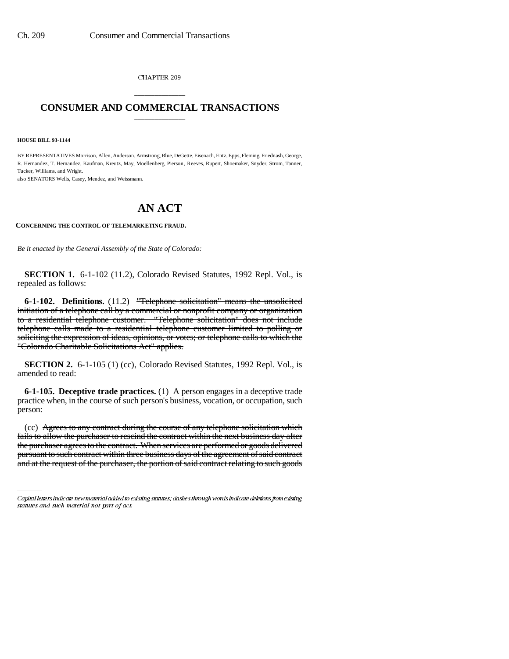CHAPTER 209

## \_\_\_\_\_\_\_\_\_\_\_\_\_\_\_ **CONSUMER AND COMMERCIAL TRANSACTIONS** \_\_\_\_\_\_\_\_\_\_\_\_\_\_\_

**HOUSE BILL 93-1144**

BY REPRESENTATIVES Morrison, Allen, Anderson, Armstrong, Blue, DeGette, Eisenach, Entz, Epps, Fleming, Friednash, George, R. Hernandez, T. Hernandez, Kaufman, Kreutz, May, Moellenberg, Pierson, Reeves, Rupert, Shoemaker, Snyder, Strom, Tanner, Tucker, Williams, and Wright.

also SENATORS Wells, Casey, Mendez, and Weissmann.

# **AN ACT**

#### **CONCERNING THE CONTROL OF TELEMARKETING FRAUD.**

*Be it enacted by the General Assembly of the State of Colorado:*

**SECTION 1.** 6-1-102 (11.2), Colorado Revised Statutes, 1992 Repl. Vol., is repealed as follows:

**6-1-102. Definitions.** (11.2) "Telephone solicitation" means the unsolicited initiation of a telephone call by a commercial or nonprofit company or organization to a residential telephone customer. "Telephone solicitation" does not include telephone calls made to a residential telephone customer limited to polling or soliciting the expression of ideas, opinions, or votes; or telephone calls to which the "Colorado Charitable Solicitations Act" applies.

**SECTION 2.** 6-1-105 (1) (cc), Colorado Revised Statutes, 1992 Repl. Vol., is amended to read:

**6-1-105. Deceptive trade practices.** (1) A person engages in a deceptive trade practice when, in the course of such person's business, vocation, or occupation, such person:

(cc) Agrees to any contract during the course of any telephone solicitation which fails to allow the purchaser to rescind the contract within the next business day after the purchaser agrees to the contract. When services are performed or goods delivered pursuant to such contract within three business days of the agreement of said contract and at the request of the purchaser, the portion of said contract relating to such goods

Capital letters indicate new material added to existing statutes; dashes through words indicate deletions from existing statutes and such material not part of act.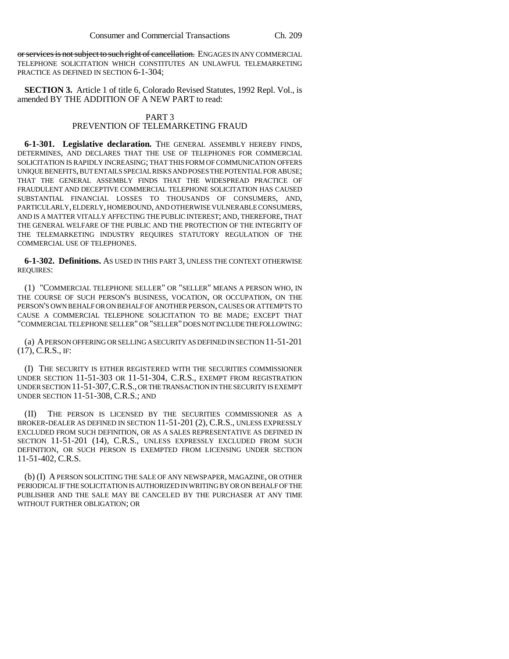or services is not subject to such right of cancellation. ENGAGES IN ANY COMMERCIAL TELEPHONE SOLICITATION WHICH CONSTITUTES AN UNLAWFUL TELEMARKETING PRACTICE AS DEFINED IN SECTION 6-1-304;

**SECTION 3.** Article 1 of title 6, Colorado Revised Statutes, 1992 Repl. Vol., is amended BY THE ADDITION OF A NEW PART to read:

#### PART 3

### PREVENTION OF TELEMARKETING FRAUD

**6-1-301. Legislative declaration.** THE GENERAL ASSEMBLY HEREBY FINDS, DETERMINES, AND DECLARES THAT THE USE OF TELEPHONES FOR COMMERCIAL SOLICITATION IS RAPIDLY INCREASING; THAT THIS FORM OF COMMUNICATION OFFERS UNIQUE BENEFITS, BUT ENTAILS SPECIAL RISKS AND POSES THE POTENTIAL FOR ABUSE; THAT THE GENERAL ASSEMBLY FINDS THAT THE WIDESPREAD PRACTICE OF FRAUDULENT AND DECEPTIVE COMMERCIAL TELEPHONE SOLICITATION HAS CAUSED SUBSTANTIAL FINANCIAL LOSSES TO THOUSANDS OF CONSUMERS, AND, PARTICULARLY, ELDERLY, HOMEBOUND, AND OTHERWISE VULNERABLE CONSUMERS, AND IS A MATTER VITALLY AFFECTING THE PUBLIC INTEREST; AND, THEREFORE, THAT THE GENERAL WELFARE OF THE PUBLIC AND THE PROTECTION OF THE INTEGRITY OF THE TELEMARKETING INDUSTRY REQUIRES STATUTORY REGULATION OF THE COMMERCIAL USE OF TELEPHONES.

**6-1-302. Definitions.** AS USED IN THIS PART 3, UNLESS THE CONTEXT OTHERWISE REQUIRES:

(1) "COMMERCIAL TELEPHONE SELLER" OR "SELLER" MEANS A PERSON WHO, IN THE COURSE OF SUCH PERSON'S BUSINESS, VOCATION, OR OCCUPATION, ON THE PERSON'S OWN BEHALF OR ON BEHALF OF ANOTHER PERSON, CAUSES OR ATTEMPTS TO CAUSE A COMMERCIAL TELEPHONE SOLICITATION TO BE MADE; EXCEPT THAT "COMMERCIAL TELEPHONE SELLER" OR "SELLER" DOES NOT INCLUDE THE FOLLOWING:

(a) A PERSON OFFERING OR SELLING A SECURITY AS DEFINED IN SECTION 11-51-201  $(17)$ , C.R.S., IF:

(I) THE SECURITY IS EITHER REGISTERED WITH THE SECURITIES COMMISSIONER UNDER SECTION 11-51-303 OR 11-51-304, C.R.S., EXEMPT FROM REGISTRATION UNDER SECTION 11-51-307,C.R.S., OR THE TRANSACTION IN THE SECURITY IS EXEMPT UNDER SECTION 11-51-308, C.R.S.; AND

(II) THE PERSON IS LICENSED BY THE SECURITIES COMMISSIONER AS A BROKER-DEALER AS DEFINED IN SECTION 11-51-201 (2), C.R.S., UNLESS EXPRESSLY EXCLUDED FROM SUCH DEFINITION, OR AS A SALES REPRESENTATIVE AS DEFINED IN SECTION 11-51-201 (14), C.R.S., UNLESS EXPRESSLY EXCLUDED FROM SUCH DEFINITION, OR SUCH PERSON IS EXEMPTED FROM LICENSING UNDER SECTION 11-51-402, C.R.S.

(b) (I) A PERSON SOLICITING THE SALE OF ANY NEWSPAPER, MAGAZINE, OR OTHER PERIODICAL IF THE SOLICITATION IS AUTHORIZED IN WRITING BY OR ON BEHALF OF THE PUBLISHER AND THE SALE MAY BE CANCELED BY THE PURCHASER AT ANY TIME WITHOUT FURTHER OBLIGATION; OR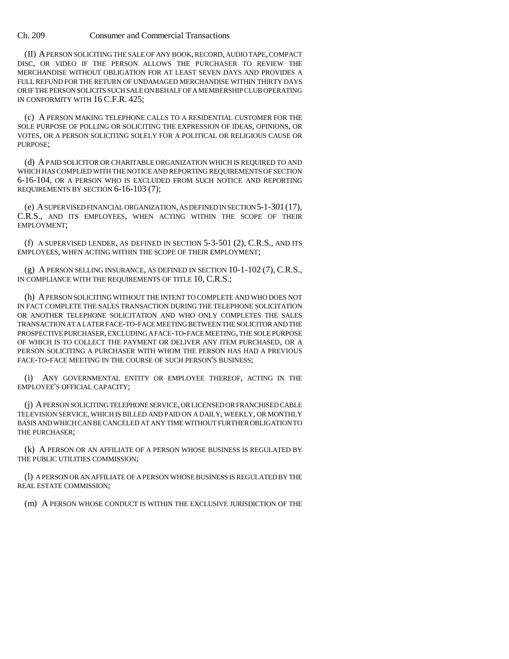Ch. 209 Consumer and Commercial Transactions

(II) A PERSON SOLICITING THE SALE OF ANY BOOK, RECORD, AUDIO TAPE, COMPACT DISC, OR VIDEO IF THE PERSON ALLOWS THE PURCHASER TO REVIEW THE MERCHANDISE WITHOUT OBLIGATION FOR AT LEAST SEVEN DAYS AND PROVIDES A FULL REFUND FOR THE RETURN OF UNDAMAGED MERCHANDISE WITHIN THIRTY DAYS OR IF THE PERSON SOLICITS SUCH SALE ON BEHALF OF A MEMBERSHIP CLUB OPERATING IN CONFORMITY WITH 16 C.F.R. 425;

(c) A PERSON MAKING TELEPHONE CALLS TO A RESIDENTIAL CUSTOMER FOR THE SOLE PURPOSE OF POLLING OR SOLICITING THE EXPRESSION OF IDEAS, OPINIONS, OR VOTES, OR A PERSON SOLICITING SOLELY FOR A POLITICAL OR RELIGIOUS CAUSE OR PURPOSE;

(d) A PAID SOLICITOR OR CHARITABLE ORGANIZATION WHICH IS REQUIRED TO AND WHICH HAS COMPLIED WITH THE NOTICE AND REPORTING REQUIREMENTS OF SECTION 6-16-104, OR A PERSON WHO IS EXCLUDED FROM SUCH NOTICE AND REPORTING REQUIREMENTS BY SECTION 6-16-103 (7);

(e) A SUPERVISED FINANCIAL ORGANIZATION, AS DEFINED IN SECTION 5-1-301(17), C.R.S., AND ITS EMPLOYEES, WHEN ACTING WITHIN THE SCOPE OF THEIR EMPLOYMENT;

(f) A SUPERVISED LENDER, AS DEFINED IN SECTION 5-3-501 (2), C.R.S., AND ITS EMPLOYEES, WHEN ACTING WITHIN THE SCOPE OF THEIR EMPLOYMENT;

(g) A PERSON SELLING INSURANCE, AS DEFINED IN SECTION 10-1-102 (7), C.R.S., IN COMPLIANCE WITH THE REQUIREMENTS OF TITLE 10, C.R.S.;

(h) A PERSON SOLICITING WITHOUT THE INTENT TO COMPLETE AND WHO DOES NOT IN FACT COMPLETE THE SALES TRANSACTION DURING THE TELEPHONE SOLICITATION OR ANOTHER TELEPHONE SOLICITATION AND WHO ONLY COMPLETES THE SALES TRANSACTION AT A LATER FACE-TO-FACE MEETING BETWEEN THE SOLICITOR AND THE PROSPECTIVE PURCHASER, EXCLUDING A FACE-TO-FACE MEETING, THE SOLE PURPOSE OF WHICH IS TO COLLECT THE PAYMENT OR DELIVER ANY ITEM PURCHASED, OR A PERSON SOLICITING A PURCHASER WITH WHOM THE PERSON HAS HAD A PREVIOUS FACE-TO-FACE MEETING IN THE COURSE OF SUCH PERSON'S BUSINESS;

(i) ANY GOVERNMENTAL ENTITY OR EMPLOYEE THEREOF, ACTING IN THE EMPLOYEE'S OFFICIAL CAPACITY;

(j) A PERSON SOLICITING TELEPHONE SERVICE, OR LICENSED OR FRANCHISED CABLE TELEVISION SERVICE, WHICH IS BILLED AND PAID ON A DAILY, WEEKLY, OR MONTHLY BASIS AND WHICH CAN BE CANCELED AT ANY TIME WITHOUT FURTHER OBLIGATION TO THE PURCHASER;

(k) A PERSON OR AN AFFILIATE OF A PERSON WHOSE BUSINESS IS REGULATED BY THE PUBLIC UTILITIES COMMISSION;

(l) A PERSON OR AN AFFILIATE OF A PERSON WHOSE BUSINESS IS REGULATED BY THE REAL ESTATE COMMISSION;

(m) A PERSON WHOSE CONDUCT IS WITHIN THE EXCLUSIVE JURISDICTION OF THE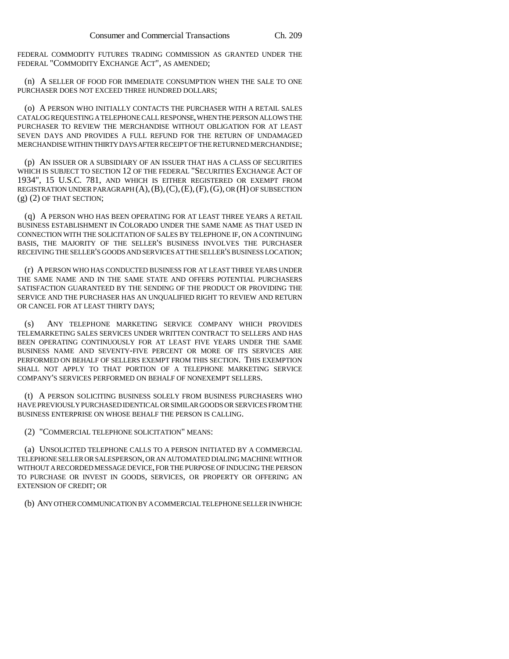FEDERAL COMMODITY FUTURES TRADING COMMISSION AS GRANTED UNDER THE FEDERAL "COMMODITY EXCHANGE ACT", AS AMENDED;

(n) A SELLER OF FOOD FOR IMMEDIATE CONSUMPTION WHEN THE SALE TO ONE PURCHASER DOES NOT EXCEED THREE HUNDRED DOLLARS;

(o) A PERSON WHO INITIALLY CONTACTS THE PURCHASER WITH A RETAIL SALES CATALOG REQUESTING A TELEPHONE CALL RESPONSE, WHEN THE PERSON ALLOWS THE PURCHASER TO REVIEW THE MERCHANDISE WITHOUT OBLIGATION FOR AT LEAST SEVEN DAYS AND PROVIDES A FULL REFUND FOR THE RETURN OF UNDAMAGED MERCHANDISE WITHIN THIRTY DAYS AFTER RECEIPT OF THE RETURNED MERCHANDISE;

(p) AN ISSUER OR A SUBSIDIARY OF AN ISSUER THAT HAS A CLASS OF SECURITIES WHICH IS SUBJECT TO SECTION 12 OF THE FEDERAL "SECURITIES EXCHANGE ACT OF 1934", 15 U.S.C. 781, AND WHICH IS EITHER REGISTERED OR EXEMPT FROM REGISTRATION UNDER PARAGRAPH (A),(B),(C),(E),(F),(G), OR (H) OF SUBSECTION (g) (2) OF THAT SECTION;

(q) A PERSON WHO HAS BEEN OPERATING FOR AT LEAST THREE YEARS A RETAIL BUSINESS ESTABLISHMENT IN COLORADO UNDER THE SAME NAME AS THAT USED IN CONNECTION WITH THE SOLICITATION OF SALES BY TELEPHONE IF, ON A CONTINUING BASIS, THE MAJORITY OF THE SELLER'S BUSINESS INVOLVES THE PURCHASER RECEIVING THE SELLER'S GOODS AND SERVICES AT THE SELLER'S BUSINESS LOCATION;

(r) A PERSON WHO HAS CONDUCTED BUSINESS FOR AT LEAST THREE YEARS UNDER THE SAME NAME AND IN THE SAME STATE AND OFFERS POTENTIAL PURCHASERS SATISFACTION GUARANTEED BY THE SENDING OF THE PRODUCT OR PROVIDING THE SERVICE AND THE PURCHASER HAS AN UNQUALIFIED RIGHT TO REVIEW AND RETURN OR CANCEL FOR AT LEAST THIRTY DAYS;

(s) ANY TELEPHONE MARKETING SERVICE COMPANY WHICH PROVIDES TELEMARKETING SALES SERVICES UNDER WRITTEN CONTRACT TO SELLERS AND HAS BEEN OPERATING CONTINUOUSLY FOR AT LEAST FIVE YEARS UNDER THE SAME BUSINESS NAME AND SEVENTY-FIVE PERCENT OR MORE OF ITS SERVICES ARE PERFORMED ON BEHALF OF SELLERS EXEMPT FROM THIS SECTION. THIS EXEMPTION SHALL NOT APPLY TO THAT PORTION OF A TELEPHONE MARKETING SERVICE COMPANY'S SERVICES PERFORMED ON BEHALF OF NONEXEMPT SELLERS.

(t) A PERSON SOLICITING BUSINESS SOLELY FROM BUSINESS PURCHASERS WHO HAVE PREVIOUSLY PURCHASED IDENTICAL OR SIMILAR GOODS OR SERVICES FROM THE BUSINESS ENTERPRISE ON WHOSE BEHALF THE PERSON IS CALLING.

(2) "COMMERCIAL TELEPHONE SOLICITATION" MEANS:

(a) UNSOLICITED TELEPHONE CALLS TO A PERSON INITIATED BY A COMMERCIAL TELEPHONE SELLER OR SALESPERSON, OR AN AUTOMATED DIALING MACHINE WITH OR WITHOUT A RECORDED MESSAGE DEVICE, FOR THE PURPOSE OF INDUCING THE PERSON TO PURCHASE OR INVEST IN GOODS, SERVICES, OR PROPERTY OR OFFERING AN EXTENSION OF CREDIT; OR

(b) ANY OTHER COMMUNICATION BY A COMMERCIAL TELEPHONE SELLER IN WHICH: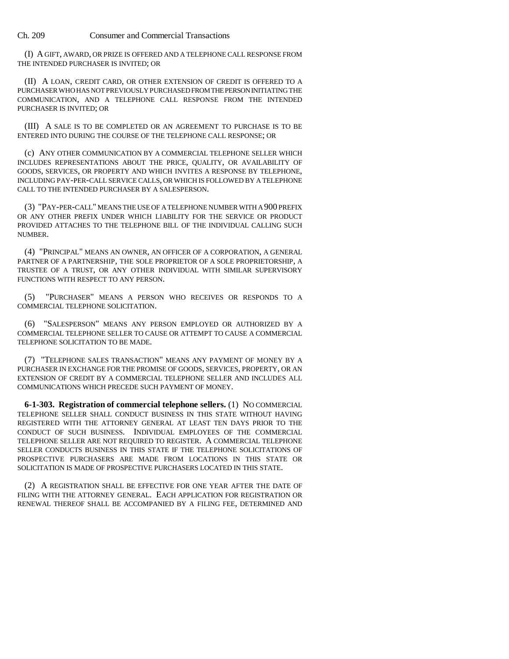Ch. 209 Consumer and Commercial Transactions

(I) A GIFT, AWARD, OR PRIZE IS OFFERED AND A TELEPHONE CALL RESPONSE FROM THE INTENDED PURCHASER IS INVITED; OR

(II) A LOAN, CREDIT CARD, OR OTHER EXTENSION OF CREDIT IS OFFERED TO A PURCHASER WHO HAS NOT PREVIOUSLY PURCHASED FROM THE PERSON INITIATING THE COMMUNICATION, AND A TELEPHONE CALL RESPONSE FROM THE INTENDED PURCHASER IS INVITED; OR

(III) A SALE IS TO BE COMPLETED OR AN AGREEMENT TO PURCHASE IS TO BE ENTERED INTO DURING THE COURSE OF THE TELEPHONE CALL RESPONSE; OR

(c) ANY OTHER COMMUNICATION BY A COMMERCIAL TELEPHONE SELLER WHICH INCLUDES REPRESENTATIONS ABOUT THE PRICE, QUALITY, OR AVAILABILITY OF GOODS, SERVICES, OR PROPERTY AND WHICH INVITES A RESPONSE BY TELEPHONE, INCLUDING PAY-PER-CALL SERVICE CALLS, OR WHICH IS FOLLOWED BY A TELEPHONE CALL TO THE INTENDED PURCHASER BY A SALESPERSON.

(3) "PAY-PER-CALL" MEANS THE USE OF A TELEPHONE NUMBER WITH A 900 PREFIX OR ANY OTHER PREFIX UNDER WHICH LIABILITY FOR THE SERVICE OR PRODUCT PROVIDED ATTACHES TO THE TELEPHONE BILL OF THE INDIVIDUAL CALLING SUCH NUMBER.

(4) "PRINCIPAL" MEANS AN OWNER, AN OFFICER OF A CORPORATION, A GENERAL PARTNER OF A PARTNERSHIP, THE SOLE PROPRIETOR OF A SOLE PROPRIETORSHIP, A TRUSTEE OF A TRUST, OR ANY OTHER INDIVIDUAL WITH SIMILAR SUPERVISORY FUNCTIONS WITH RESPECT TO ANY PERSON.

(5) "PURCHASER" MEANS A PERSON WHO RECEIVES OR RESPONDS TO A COMMERCIAL TELEPHONE SOLICITATION.

(6) "SALESPERSON" MEANS ANY PERSON EMPLOYED OR AUTHORIZED BY A COMMERCIAL TELEPHONE SELLER TO CAUSE OR ATTEMPT TO CAUSE A COMMERCIAL TELEPHONE SOLICITATION TO BE MADE.

(7) "TELEPHONE SALES TRANSACTION" MEANS ANY PAYMENT OF MONEY BY A PURCHASER IN EXCHANGE FOR THE PROMISE OF GOODS, SERVICES, PROPERTY, OR AN EXTENSION OF CREDIT BY A COMMERCIAL TELEPHONE SELLER AND INCLUDES ALL COMMUNICATIONS WHICH PRECEDE SUCH PAYMENT OF MONEY.

**6-1-303. Registration of commercial telephone sellers.** (1) NO COMMERCIAL TELEPHONE SELLER SHALL CONDUCT BUSINESS IN THIS STATE WITHOUT HAVING REGISTERED WITH THE ATTORNEY GENERAL AT LEAST TEN DAYS PRIOR TO THE CONDUCT OF SUCH BUSINESS. INDIVIDUAL EMPLOYEES OF THE COMMERCIAL TELEPHONE SELLER ARE NOT REQUIRED TO REGISTER. A COMMERCIAL TELEPHONE SELLER CONDUCTS BUSINESS IN THIS STATE IF THE TELEPHONE SOLICITATIONS OF PROSPECTIVE PURCHASERS ARE MADE FROM LOCATIONS IN THIS STATE OR SOLICITATION IS MADE OF PROSPECTIVE PURCHASERS LOCATED IN THIS STATE.

(2) A REGISTRATION SHALL BE EFFECTIVE FOR ONE YEAR AFTER THE DATE OF FILING WITH THE ATTORNEY GENERAL. EACH APPLICATION FOR REGISTRATION OR RENEWAL THEREOF SHALL BE ACCOMPANIED BY A FILING FEE, DETERMINED AND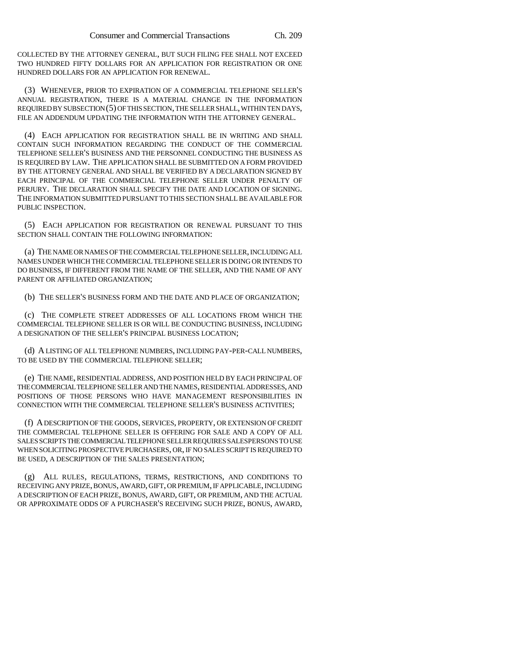COLLECTED BY THE ATTORNEY GENERAL, BUT SUCH FILING FEE SHALL NOT EXCEED TWO HUNDRED FIFTY DOLLARS FOR AN APPLICATION FOR REGISTRATION OR ONE HUNDRED DOLLARS FOR AN APPLICATION FOR RENEWAL.

(3) WHENEVER, PRIOR TO EXPIRATION OF A COMMERCIAL TELEPHONE SELLER'S ANNUAL REGISTRATION, THERE IS A MATERIAL CHANGE IN THE INFORMATION REQUIRED BY SUBSECTION (5) OF THIS SECTION, THE SELLER SHALL, WITHIN TEN DAYS, FILE AN ADDENDUM UPDATING THE INFORMATION WITH THE ATTORNEY GENERAL.

(4) EACH APPLICATION FOR REGISTRATION SHALL BE IN WRITING AND SHALL CONTAIN SUCH INFORMATION REGARDING THE CONDUCT OF THE COMMERCIAL TELEPHONE SELLER'S BUSINESS AND THE PERSONNEL CONDUCTING THE BUSINESS AS IS REQUIRED BY LAW. THE APPLICATION SHALL BE SUBMITTED ON A FORM PROVIDED BY THE ATTORNEY GENERAL AND SHALL BE VERIFIED BY A DECLARATION SIGNED BY EACH PRINCIPAL OF THE COMMERCIAL TELEPHONE SELLER UNDER PENALTY OF PERJURY. THE DECLARATION SHALL SPECIFY THE DATE AND LOCATION OF SIGNING. THE INFORMATION SUBMITTED PURSUANT TO THIS SECTION SHALL BE AVAILABLE FOR PUBLIC INSPECTION.

(5) EACH APPLICATION FOR REGISTRATION OR RENEWAL PURSUANT TO THIS SECTION SHALL CONTAIN THE FOLLOWING INFORMATION:

(a) THE NAME OR NAMES OF THE COMMERCIAL TELEPHONE SELLER, INCLUDING ALL NAMES UNDER WHICH THE COMMERCIAL TELEPHONE SELLER IS DOING OR INTENDS TO DO BUSINESS, IF DIFFERENT FROM THE NAME OF THE SELLER, AND THE NAME OF ANY PARENT OR AFFILIATED ORGANIZATION;

(b) THE SELLER'S BUSINESS FORM AND THE DATE AND PLACE OF ORGANIZATION;

(c) THE COMPLETE STREET ADDRESSES OF ALL LOCATIONS FROM WHICH THE COMMERCIAL TELEPHONE SELLER IS OR WILL BE CONDUCTING BUSINESS, INCLUDING A DESIGNATION OF THE SELLER'S PRINCIPAL BUSINESS LOCATION;

(d) A LISTING OF ALL TELEPHONE NUMBERS, INCLUDING PAY-PER-CALL NUMBERS, TO BE USED BY THE COMMERCIAL TELEPHONE SELLER;

(e) THE NAME, RESIDENTIAL ADDRESS, AND POSITION HELD BY EACH PRINCIPAL OF THE COMMERCIAL TELEPHONE SELLER AND THE NAMES, RESIDENTIAL ADDRESSES, AND POSITIONS OF THOSE PERSONS WHO HAVE MANAGEMENT RESPONSIBILITIES IN CONNECTION WITH THE COMMERCIAL TELEPHONE SELLER'S BUSINESS ACTIVITIES;

(f) A DESCRIPTION OF THE GOODS, SERVICES, PROPERTY, OR EXTENSION OF CREDIT THE COMMERCIAL TELEPHONE SELLER IS OFFERING FOR SALE AND A COPY OF ALL SALES SCRIPTS THE COMMERCIAL TELEPHONE SELLER REQUIRES SALESPERSONS TO USE WHEN SOLICITING PROSPECTIVE PURCHASERS, OR, IF NO SALES SCRIPT IS REQUIRED TO BE USED, A DESCRIPTION OF THE SALES PRESENTATION;

(g) ALL RULES, REGULATIONS, TERMS, RESTRICTIONS, AND CONDITIONS TO RECEIVING ANY PRIZE, BONUS, AWARD, GIFT, OR PREMIUM, IF APPLICABLE, INCLUDING A DESCRIPTION OF EACH PRIZE, BONUS, AWARD, GIFT, OR PREMIUM, AND THE ACTUAL OR APPROXIMATE ODDS OF A PURCHASER'S RECEIVING SUCH PRIZE, BONUS, AWARD,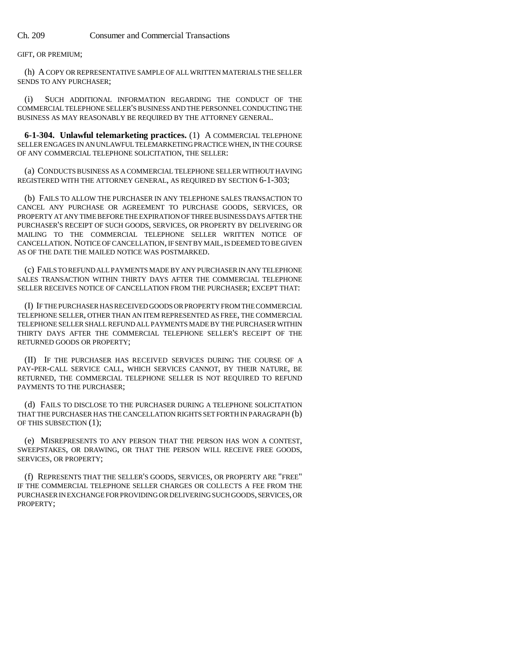GIFT, OR PREMIUM;

(h) A COPY OR REPRESENTATIVE SAMPLE OF ALL WRITTEN MATERIALS THE SELLER SENDS TO ANY PURCHASER;

(i) SUCH ADDITIONAL INFORMATION REGARDING THE CONDUCT OF THE COMMERCIAL TELEPHONE SELLER'S BUSINESS AND THE PERSONNEL CONDUCTING THE BUSINESS AS MAY REASONABLY BE REQUIRED BY THE ATTORNEY GENERAL.

**6-1-304. Unlawful telemarketing practices.** (1) A COMMERCIAL TELEPHONE SELLER ENGAGES IN AN UNLAWFUL TELEMARKETING PRACTICE WHEN, IN THE COURSE OF ANY COMMERCIAL TELEPHONE SOLICITATION, THE SELLER:

(a) CONDUCTS BUSINESS AS A COMMERCIAL TELEPHONE SELLER WITHOUT HAVING REGISTERED WITH THE ATTORNEY GENERAL, AS REQUIRED BY SECTION 6-1-303;

(b) FAILS TO ALLOW THE PURCHASER IN ANY TELEPHONE SALES TRANSACTION TO CANCEL ANY PURCHASE OR AGREEMENT TO PURCHASE GOODS, SERVICES, OR PROPERTY AT ANY TIME BEFORE THE EXPIRATION OF THREE BUSINESS DAYS AFTER THE PURCHASER'S RECEIPT OF SUCH GOODS, SERVICES, OR PROPERTY BY DELIVERING OR MAILING TO THE COMMERCIAL TELEPHONE SELLER WRITTEN NOTICE OF CANCELLATION. NOTICE OF CANCELLATION, IF SENT BY MAIL, IS DEEMED TO BE GIVEN AS OF THE DATE THE MAILED NOTICE WAS POSTMARKED.

(c) FAILS TO REFUND ALL PAYMENTS MADE BY ANY PURCHASER IN ANY TELEPHONE SALES TRANSACTION WITHIN THIRTY DAYS AFTER THE COMMERCIAL TELEPHONE SELLER RECEIVES NOTICE OF CANCELLATION FROM THE PURCHASER; EXCEPT THAT:

(I) IF THE PURCHASER HAS RECEIVED GOODS OR PROPERTY FROM THE COMMERCIAL TELEPHONE SELLER, OTHER THAN AN ITEM REPRESENTED AS FREE, THE COMMERCIAL TELEPHONE SELLER SHALL REFUND ALL PAYMENTS MADE BY THE PURCHASER WITHIN THIRTY DAYS AFTER THE COMMERCIAL TELEPHONE SELLER'S RECEIPT OF THE RETURNED GOODS OR PROPERTY;

(II) IF THE PURCHASER HAS RECEIVED SERVICES DURING THE COURSE OF A PAY-PER-CALL SERVICE CALL, WHICH SERVICES CANNOT, BY THEIR NATURE, BE RETURNED, THE COMMERCIAL TELEPHONE SELLER IS NOT REQUIRED TO REFUND PAYMENTS TO THE PURCHASER;

(d) FAILS TO DISCLOSE TO THE PURCHASER DURING A TELEPHONE SOLICITATION THAT THE PURCHASER HAS THE CANCELLATION RIGHTS SET FORTH IN PARAGRAPH (b) OF THIS SUBSECTION (1);

(e) MISREPRESENTS TO ANY PERSON THAT THE PERSON HAS WON A CONTEST, SWEEPSTAKES, OR DRAWING, OR THAT THE PERSON WILL RECEIVE FREE GOODS, SERVICES, OR PROPERTY;

(f) REPRESENTS THAT THE SELLER'S GOODS, SERVICES, OR PROPERTY ARE "FREE" IF THE COMMERCIAL TELEPHONE SELLER CHARGES OR COLLECTS A FEE FROM THE PURCHASER IN EXCHANGE FOR PROVIDING OR DELIVERING SUCH GOODS, SERVICES, OR PROPERTY;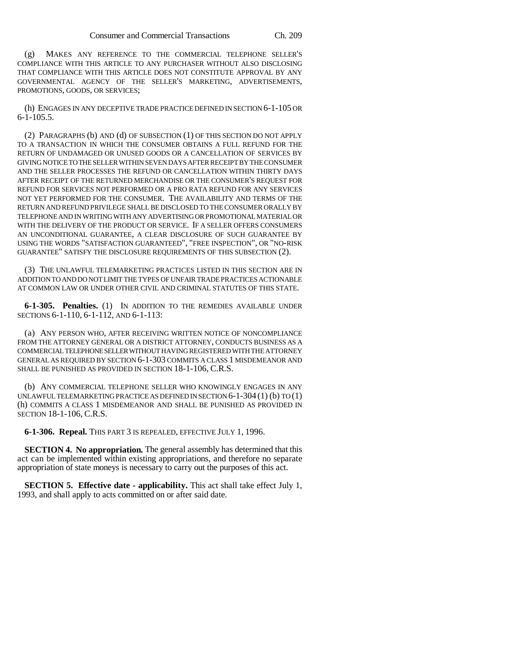(g) MAKES ANY REFERENCE TO THE COMMERCIAL TELEPHONE SELLER'S COMPLIANCE WITH THIS ARTICLE TO ANY PURCHASER WITHOUT ALSO DISCLOSING THAT COMPLIANCE WITH THIS ARTICLE DOES NOT CONSTITUTE APPROVAL BY ANY GOVERNMENTAL AGENCY OF THE SELLER'S MARKETING, ADVERTISEMENTS, PROMOTIONS, GOODS, OR SERVICES;

(h) ENGAGES IN ANY DECEPTIVE TRADE PRACTICE DEFINED IN SECTION 6-1-105 OR 6-1-105.5.

(2) PARAGRAPHS (b) AND (d) OF SUBSECTION (1) OF THIS SECTION DO NOT APPLY TO A TRANSACTION IN WHICH THE CONSUMER OBTAINS A FULL REFUND FOR THE RETURN OF UNDAMAGED OR UNUSED GOODS OR A CANCELLATION OF SERVICES BY GIVING NOTICE TO THE SELLER WITHIN SEVEN DAYS AFTER RECEIPT BY THE CONSUMER AND THE SELLER PROCESSES THE REFUND OR CANCELLATION WITHIN THIRTY DAYS AFTER RECEIPT OF THE RETURNED MERCHANDISE OR THE CONSUMER'S REQUEST FOR REFUND FOR SERVICES NOT PERFORMED OR A PRO RATA REFUND FOR ANY SERVICES NOT YET PERFORMED FOR THE CONSUMER. THE AVAILABILITY AND TERMS OF THE RETURN AND REFUND PRIVILEGE SHALL BE DISCLOSED TO THE CONSUMER ORALLY BY TELEPHONE AND IN WRITING WITH ANY ADVERTISING OR PROMOTIONAL MATERIAL OR WITH THE DELIVERY OF THE PRODUCT OR SERVICE. IF A SELLER OFFERS CONSUMERS AN UNCONDITIONAL GUARANTEE, A CLEAR DISCLOSURE OF SUCH GUARANTEE BY USING THE WORDS "SATISFACTION GUARANTEED", "FREE INSPECTION", OR "NO-RISK GUARANTEE" SATISFY THE DISCLOSURE REQUIREMENTS OF THIS SUBSECTION (2).

(3) THE UNLAWFUL TELEMARKETING PRACTICES LISTED IN THIS SECTION ARE IN ADDITION TO AND DO NOT LIMIT THE TYPES OF UNFAIR TRADE PRACTICES ACTIONABLE AT COMMON LAW OR UNDER OTHER CIVIL AND CRIMINAL STATUTES OF THIS STATE.

**6-1-305. Penalties.** (1) IN ADDITION TO THE REMEDIES AVAILABLE UNDER SECTIONS 6-1-110, 6-1-112, AND 6-1-113:

(a) ANY PERSON WHO, AFTER RECEIVING WRITTEN NOTICE OF NONCOMPLIANCE FROM THE ATTORNEY GENERAL OR A DISTRICT ATTORNEY, CONDUCTS BUSINESS AS A COMMERCIAL TELEPHONE SELLER WITHOUT HAVING REGISTERED WITH THE ATTORNEY GENERAL AS REQUIRED BY SECTION 6-1-303 COMMITS A CLASS 1 MISDEMEANOR AND SHALL BE PUNISHED AS PROVIDED IN SECTION 18-1-106, C.R.S.

(b) ANY COMMERCIAL TELEPHONE SELLER WHO KNOWINGLY ENGAGES IN ANY UNLAWFUL TELEMARKETING PRACTICE AS DEFINED IN SECTION  $6-1-304(1)$  (b) TO  $(1)$ (h) COMMITS A CLASS 1 MISDEMEANOR AND SHALL BE PUNISHED AS PROVIDED IN SECTION 18-1-106, C.R.S.

**6-1-306. Repeal.** THIS PART 3 IS REPEALED, EFFECTIVE JULY 1, 1996.

**SECTION 4. No appropriation.** The general assembly has determined that this act can be implemented within existing appropriations, and therefore no separate appropriation of state moneys is necessary to carry out the purposes of this act.

**SECTION 5. Effective date - applicability.** This act shall take effect July 1, 1993, and shall apply to acts committed on or after said date.